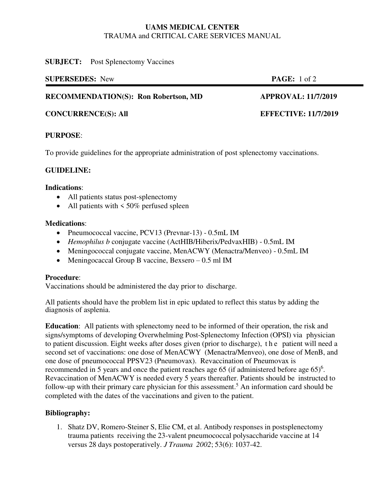#### **UAMS MEDICAL CENTER**  TRAUMA and CRITICAL CARE SERVICES MANUAL

#### **SUBJECT:** Post Splenectomy Vaccines

| <b>SUPERSEDES:</b> New                      | <b>PAGE:</b> 1 of 2        |
|---------------------------------------------|----------------------------|
| <b>RECOMMENDATION(S): Ron Robertson, MD</b> | <b>APPROVAL: 11/7/2019</b> |

**CONCURRENCE(S): All EFFECTIVE: 11/7/2019** 

## **PURPOSE**:

To provide guidelines for the appropriate administration of post splenectomy vaccinations.

## **GUIDELINE:**

#### **Indications**:

- All patients status post-splenectomy
- All patients with  $\leq 50\%$  perfused spleen

### **Medications**:

- Pneumococcal vaccine, PCV13 (Prevnar-13) 0.5mL IM
- *Hemophilus b* conjugate vaccine (ActHIB/Hiberix/PedvaxHIB) 0.5mL IM
- Meningococcal conjugate vaccine, MenACWY (Menactra/Menveo) 0.5mL IM
- Meningocaccal Group B vaccine, Bexsero  $-0.5$  ml IM

### **Procedure**:

Vaccinations should be administered the day prior to discharge.

All patients should have the problem list in epic updated to reflect this status by adding the diagnosis of asplenia.

**Education**: All patients with splenectomy need to be informed of their operation, the risk and signs/symptoms of developing Overwhelming Post-Splenectomy Infection (OPSI) via physician to patient discussion. Eight weeks after doses given (prior to discharge), t h e patient will need a second set of vaccinations: one dose of MenACWY (Menactra/Menveo), one dose of MenB, and one dose of pneumococcal PPSV23 (Pneumovax). Revaccination of Pneumovax is recommended in 5 years and once the patient reaches age 65 (if administered before age  $65$ )<sup>6</sup>. Revaccination of MenACWY is needed every 5 years thereafter. Patients should be instructed to follow-up with their primary care physician for this assessment.<sup>5</sup> An information card should be completed with the dates of the vaccinations and given to the patient.

### **Bibliography:**

1. Shatz DV, Romero-Steiner S, Elie CM, et al. Antibody responses in postsplenectomy trauma patients receiving the 23-valent pneumococcal polysaccharide vaccine at 14 versus 28 days postoperatively. *J Trauma 2002*; 53(6): 1037-42.